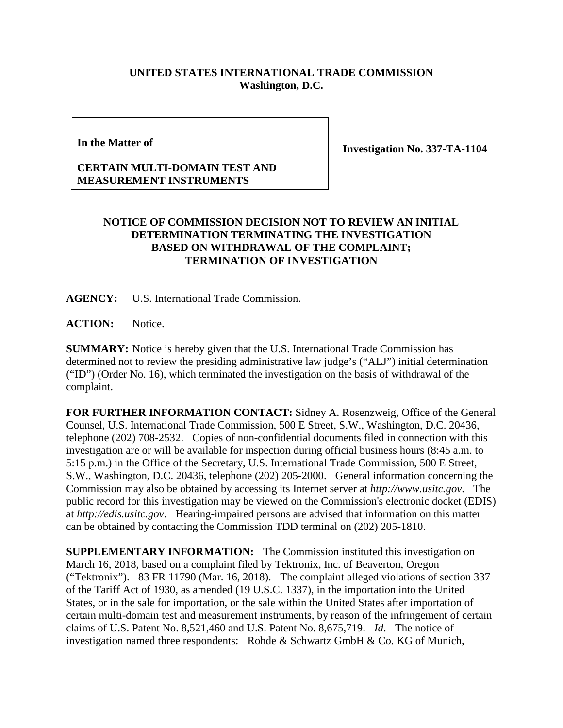## **UNITED STATES INTERNATIONAL TRADE COMMISSION Washington, D.C.**

**In the Matter of**

**Investigation No. 337-TA-1104**

## **CERTAIN MULTI-DOMAIN TEST AND MEASUREMENT INSTRUMENTS**

## **NOTICE OF COMMISSION DECISION NOT TO REVIEW AN INITIAL DETERMINATION TERMINATING THE INVESTIGATION BASED ON WITHDRAWAL OF THE COMPLAINT; TERMINATION OF INVESTIGATION**

**AGENCY:** U.S. International Trade Commission.

ACTION: Notice.

**SUMMARY:** Notice is hereby given that the U.S. International Trade Commission has determined not to review the presiding administrative law judge's ("ALJ") initial determination ("ID") (Order No. 16), which terminated the investigation on the basis of withdrawal of the complaint.

**FOR FURTHER INFORMATION CONTACT:** Sidney A. Rosenzweig, Office of the General Counsel, U.S. International Trade Commission, 500 E Street, S.W., Washington, D.C. 20436, telephone (202) 708-2532. Copies of non-confidential documents filed in connection with this investigation are or will be available for inspection during official business hours (8:45 a.m. to 5:15 p.m.) in the Office of the Secretary, U.S. International Trade Commission, 500 E Street, S.W., Washington, D.C. 20436, telephone (202) 205-2000. General information concerning the Commission may also be obtained by accessing its Internet server at *http://www.usitc.gov*. The public record for this investigation may be viewed on the Commission's electronic docket (EDIS) at *http://edis.usitc.gov*. Hearing-impaired persons are advised that information on this matter can be obtained by contacting the Commission TDD terminal on (202) 205-1810.

**SUPPLEMENTARY INFORMATION:** The Commission instituted this investigation on March 16, 2018, based on a complaint filed by Tektronix, Inc. of Beaverton, Oregon ("Tektronix"). 83 FR 11790 (Mar. 16, 2018). The complaint alleged violations of section 337 of the Tariff Act of 1930, as amended (19 U.S.C. 1337), in the importation into the United States, or in the sale for importation, or the sale within the United States after importation of certain multi-domain test and measurement instruments, by reason of the infringement of certain claims of U.S. Patent No. 8,521,460 and U.S. Patent No. 8,675,719. *Id*. The notice of investigation named three respondents: Rohde & Schwartz GmbH & Co. KG of Munich,